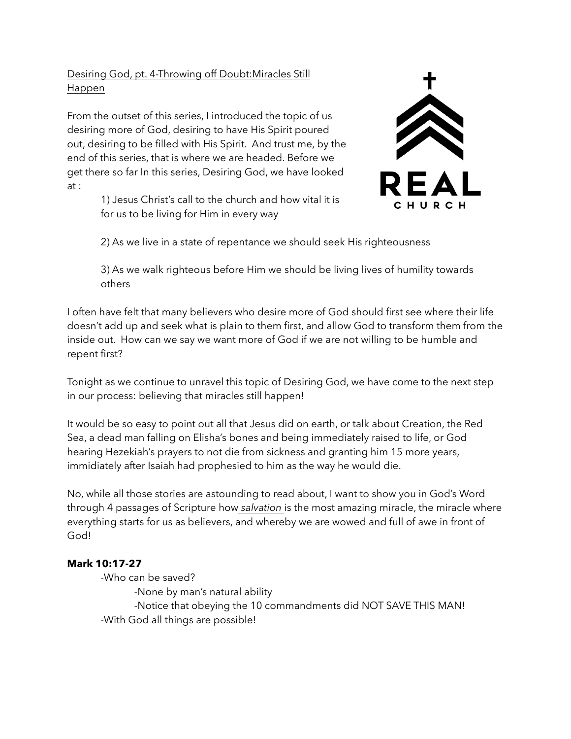# Desiring God, pt. 4-Throwing off Doubt:Miracles Still Happen

From the outset of this series, I introduced the topic of us desiring more of God, desiring to have His Spirit poured out, desiring to be filled with His Spirit. And trust me, by the end of this series, that is where we are headed. Before we get there so far In this series, Desiring God, we have looked at :

> 1) Jesus Christ's call to the church and how vital it is for us to be living for Him in every way



2) As we live in a state of repentance we should seek His righteousness

 3) As we walk righteous before Him we should be living lives of humility towards others

I often have felt that many believers who desire more of God should first see where their life doesn't add up and seek what is plain to them first, and allow God to transform them from the inside out. How can we say we want more of God if we are not willing to be humble and repent first?

Tonight as we continue to unravel this topic of Desiring God, we have come to the next step in our process: believing that miracles still happen!

It would be so easy to point out all that Jesus did on earth, or talk about Creation, the Red Sea, a dead man falling on Elisha's bones and being immediately raised to life, or God hearing Hezekiah's prayers to not die from sickness and granting him 15 more years, immidiately after Isaiah had prophesied to him as the way he would die.

No, while all those stories are astounding to read about, I want to show you in God's Word through 4 passages of Scripture how *salvation* is the most amazing miracle, the miracle where everything starts for us as believers, and whereby we are wowed and full of awe in front of God!

# **Mark 10:17-27**

-Who can be saved? -None by man's natural ability -Notice that obeying the 10 commandments did NOT SAVE THIS MAN! -With God all things are possible!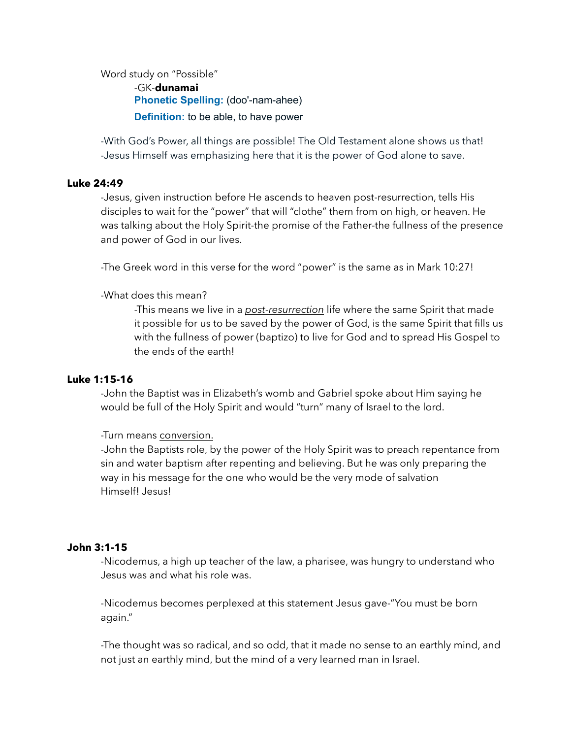Word study on "Possible" -GK-**dunamai Phonetic Spelling: (doo'-nam-ahee)** 

**Definition:** to be able, to have power

-With God's Power, all things are possible! The Old Testament alone shows us that! -Jesus Himself was emphasizing here that it is the power of God alone to save.

### **Luke 24:49**

-Jesus, given instruction before He ascends to heaven post-resurrection, tells His disciples to wait for the "power" that will "clothe" them from on high, or heaven. He was talking about the Holy Spirit-the promise of the Father-the fullness of the presence and power of God in our lives.

-The Greek word in this verse for the word "power" is the same as in Mark 10:27!

-What does this mean?

 -This means we live in a *post-resurrection* life where the same Spirit that made it possible for us to be saved by the power of God, is the same Spirit that fills us with the fullness of power (baptizo) to live for God and to spread His Gospel to the ends of the earth!

### **Luke 1:15-16**

-John the Baptist was in Elizabeth's womb and Gabriel spoke about Him saying he would be full of the Holy Spirit and would "turn" many of Israel to the lord.

-Turn means conversion.

 -John the Baptists role, by the power of the Holy Spirit was to preach repentance from sin and water baptism after repenting and believing. But he was only preparing the way in his message for the one who would be the very mode of salvation Himself! Jesus!

### **John 3:1-15**

-Nicodemus, a high up teacher of the law, a pharisee, was hungry to understand who Jesus was and what his role was.

 -Nicodemus becomes perplexed at this statement Jesus gave-"You must be born again."

 -The thought was so radical, and so odd, that it made no sense to an earthly mind, and not just an earthly mind, but the mind of a very learned man in Israel.